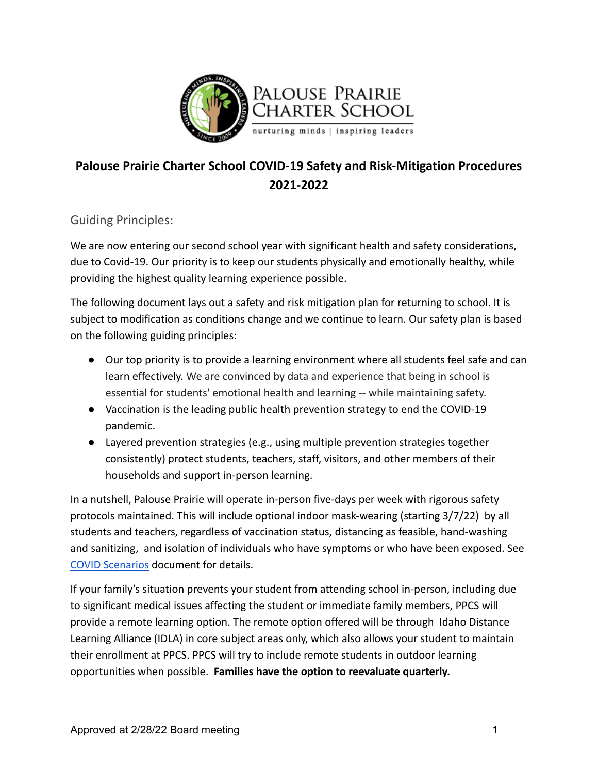

# **Palouse Prairie Charter School COVID-19 Safety and Risk-Mitigation Procedures 2021-2022**

Guiding Principles:

We are now entering our second school year with significant health and safety considerations, due to Covid-19. Our priority is to keep our students physically and emotionally healthy, while providing the highest quality learning experience possible.

The following document lays out a safety and risk mitigation plan for returning to school. It is subject to modification as conditions change and we continue to learn. Our safety plan is based on the following guiding principles:

- Our top priority is to provide a learning environment where all students feel safe and can learn effectively. We are convinced by data and experience that being in school is essential for students' emotional health and learning -- while maintaining safety.
- Vaccination is the leading public health prevention strategy to end the COVID-19 pandemic.
- Layered prevention strategies (e.g., using multiple prevention strategies together consistently) protect students, teachers, staff, visitors, and other members of their households and support in-person learning.

In a nutshell, Palouse Prairie will operate in-person five-days per week with rigorous safety protocols maintained. This will include optional indoor mask-wearing (starting 3/7/22) by all students and teachers, regardless of vaccination status, distancing as feasible, hand-washing and sanitizing, and isolation of individuals who have symptoms or who have been exposed. See [COVID Scenarios](https://p18cdn4static.sharpschool.com/UserFiles/Servers/Server_200037/File/COVID%2019%20Info%202020-21/Updated%20Protocols%203-8-22/1.7%20Protocol%20for%20Isolation%20and%20Quarantine%203-8-2022.pdf) document for details.

If your family's situation prevents your student from attending school in-person, including due to significant medical issues affecting the student or immediate family members, PPCS will provide a remote learning option. The remote option offered will be through Idaho Distance Learning Alliance (IDLA) in core subject areas only, which also allows your student to maintain their enrollment at PPCS. PPCS will try to include remote students in outdoor learning opportunities when possible. **Families have the option to reevaluate quarterly.**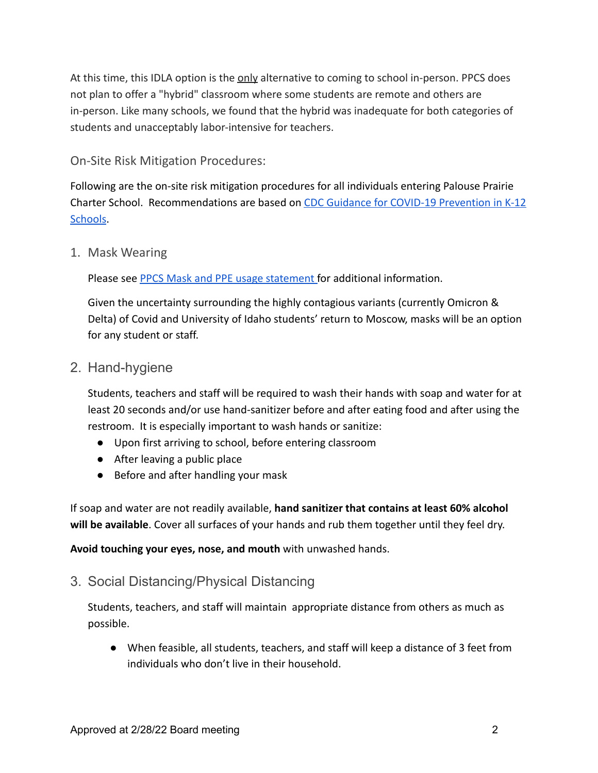At this time, this IDLA option is the only alternative to coming to school in-person. PPCS does not plan to offer a "hybrid" classroom where some students are remote and others are in-person. Like many schools, we found that the hybrid was inadequate for both categories of students and unacceptably labor-intensive for teachers.

On-Site Risk Mitigation Procedures:

Following are the on-site risk mitigation procedures for all individuals entering Palouse Prairie Charter School. Recommendations are based on CDC [Guidance for COVID-19 Prevention in K-12](https://www.cdc.gov/coronavirus/2019-ncov/community/schools-childcare/k-12-guidance.html) [Schools.](https://www.cdc.gov/coronavirus/2019-ncov/community/schools-childcare/k-12-guidance.html)

1. Mask Wearing

Please see [PPCS Mask and PPE usage statement](https://docs.google.com/document/d/1FRWZq4N0i7jkN_r29gEfXGDj7xzu0gCYcBMX6yYznSM/edit?usp=sharing) for additional information.

Given the uncertainty surrounding the highly contagious variants (currently Omicron & Delta) of Covid and University of Idaho students' return to Moscow, masks will be an option for any student or staff.

2. Hand-hygiene

Students, teachers and staff will be required to wash their hands with soap and water for at least 20 seconds and/or use hand-sanitizer before and after eating food and after using the restroom. It is especially important to wash hands or sanitize:

- Upon first arriving to school, before entering classroom
- After leaving a public place
- Before and after handling your mask

If soap and water are not readily available, **hand sanitizer that contains at least 60% alcohol will be available**. Cover all surfaces of your hands and rub them together until they feel dry.

**Avoid touching your eyes, nose, and mouth** with unwashed hands.

3. Social Distancing/Physical Distancing

Students, teachers, and staff will maintain appropriate distance from others as much as possible.

● When feasible, all students, teachers, and staff will keep a distance of 3 feet from individuals who don't live in their household.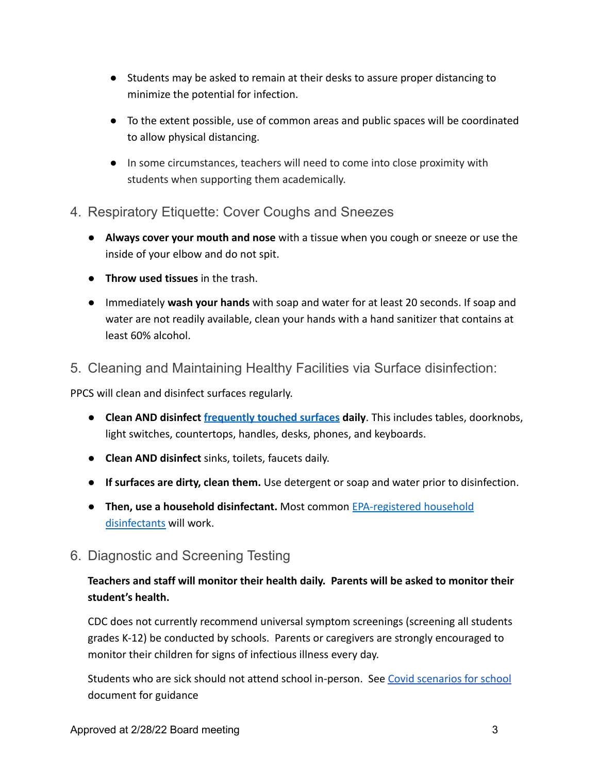- Students may be asked to remain at their desks to assure proper distancing to minimize the potential for infection.
- To the extent possible, use of common areas and public spaces will be coordinated to allow physical distancing.
- In some circumstances, teachers will need to come into close proximity with students when supporting them academically.
- 4. Respiratory Etiquette: Cover Coughs and Sneezes
	- **Always cover your mouth and nose** with a tissue when you cough or sneeze or use the inside of your elbow and do not spit.
	- **Throw used tissues** in the trash.
	- Immediately **wash your hands** with soap and water for at least 20 seconds. If soap and water are not readily available, clean your hands with a hand sanitizer that contains at least 60% alcohol.
- 5. Cleaning and Maintaining Healthy Facilities via Surface disinfection:

PPCS will clean and disinfect surfaces regularly.

- **Clean AND disinfect [frequently touched surfaces](https://www.cdc.gov/coronavirus/2019-ncov/prevent-getting-sick/disinfecting-your-home.html) daily**. This includes tables, doorknobs, light switches, countertops, handles, desks, phones, and keyboards.
- **Clean AND disinfect** sinks, toilets, faucets daily.
- **If surfaces are dirty, clean them.** Use detergent or soap and water prior to disinfection.
- **Then, use a household disinfectant.** Most common [EPA-registered](https://www.epa.gov/pesticide-registration/list-n-disinfectants-use-against-sars-cov-2) household [disinfectants](https://www.epa.gov/pesticide-registration/list-n-disinfectants-use-against-sars-cov-2) will work.
- 6. Diagnostic and Screening Testing

### **Teachers and staff will monitor their health daily. Parents will be asked to monitor their student's health.**

CDC does not currently recommend universal symptom screenings (screening all students grades K-12) be conducted by schools. Parents or caregivers are strongly encouraged to monitor their children for signs of infectious illness every day.

Students who are sick should not attend school in-person. See [Covid scenarios for school](https://drive.google.com/file/d/1YLfCeZ_POqTid2sWffxvBhd9zKxUKztf/view) document for guidance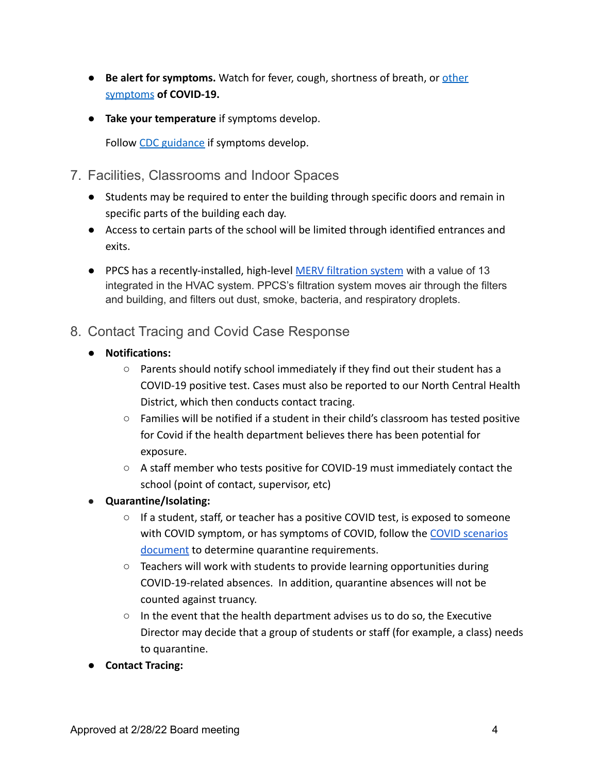- **Be alert for symptoms.** Watch for fever, cough, shortness of breath, or **[other](https://www.cdc.gov/coronavirus/2019-ncov/symptoms-testing/symptoms.html)** [symptoms](https://www.cdc.gov/coronavirus/2019-ncov/symptoms-testing/symptoms.html) **of COVID-19.**
- **Take your temperature** if symptoms develop.

Follow [CDC guidance](https://www.cdc.gov/coronavirus/2019-ncov/if-you-are-sick/steps-when-sick.html) if symptoms develop.

- 7. Facilities, Classrooms and Indoor Spaces
	- Students may be required to enter the building through specific doors and remain in specific parts of the building each day.
	- Access to certain parts of the school will be limited through identified entrances and exits.
	- PPCS has a recently-installed, high-level [MERV filtration](https://www.nafahq.org/wp-content/uploads/Schools-Secured.pdf) system with a value of 13 integrated in the HVAC system. PPCS's filtration system moves air through the filters and building, and filters out dust, smoke, bacteria, and respiratory droplets.

## 8. Contact Tracing and Covid Case Response

- **Notifications:**
	- Parents should notify school immediately if they find out their student has a COVID-19 positive test. Cases must also be reported to our North Central Health District, which then conducts contact tracing.
	- Families will be notified if a student in their child's classroom has tested positive for Covid if the health department believes there has been potential for exposure.
	- A staff member who tests positive for COVID-19 must immediately contact the school (point of contact, supervisor, etc)
- **Quarantine/Isolating:**
	- $\circ$  If a student, staff, or teacher has a positive COVID test, is exposed to someone with COVID symptom, or has symptoms of COVID, follow the [COVID scenarios](https://drive.google.com/file/d/1YLfCeZ_POqTid2sWffxvBhd9zKxUKztf/view) [document](https://drive.google.com/file/d/1YLfCeZ_POqTid2sWffxvBhd9zKxUKztf/view) to determine quarantine requirements.
	- $\circ$  Teachers will work with students to provide learning opportunities during COVID-19-related absences. In addition, quarantine absences will not be counted against truancy.
	- $\circ$  In the event that the health department advises us to do so, the Executive Director may decide that a group of students or staff (for example, a class) needs to quarantine.
- **Contact Tracing:**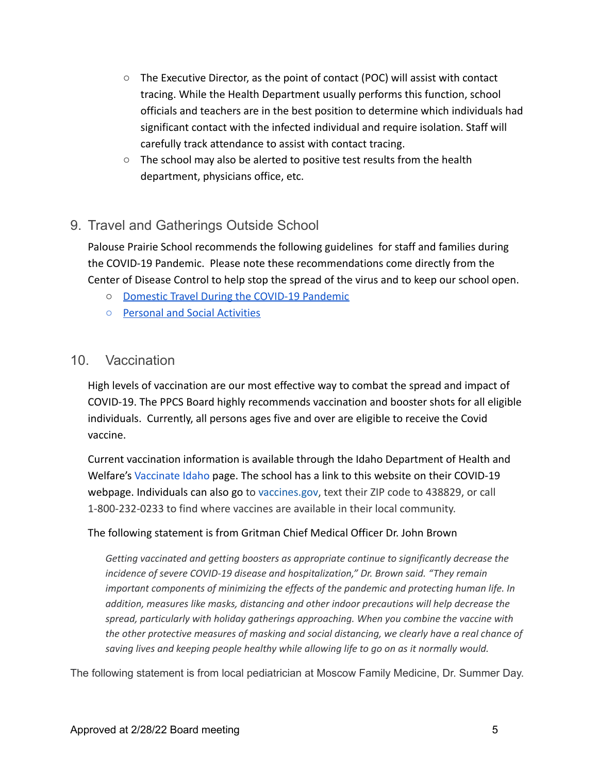- $\circ$  The Executive Director, as the point of contact (POC) will assist with contact tracing. While the Health Department usually performs this function, school officials and teachers are in the best position to determine which individuals had significant contact with the infected individual and require isolation. Staff will carefully track attendance to assist with contact tracing.
- The school may also be alerted to positive test results from the health department, physicians office, etc.

## 9. Travel and Gatherings Outside School

Palouse Prairie School recommends the following guidelines for staff and families during the COVID-19 Pandemic. Please note these recommendations come directly from the Center of Disease Control to help stop the spread of the virus and to keep our school open.

- [Domestic Travel During the COVID-19 Pandemic](https://www.cdc.gov/coronavirus/2019-ncov/travelers/travel-during-covid19.html)
- [Personal and Social Activities](https://www.cdc.gov/coronavirus/2019-ncov/daily-life-coping/personal-social-activities.html)

### 10. Vaccination

High levels of vaccination are our most effective way to combat the spread and impact of COVID-19. The PPCS Board highly recommends vaccination and booster shots for all eligible individuals. Currently, all persons ages five and over are eligible to receive the Covid vaccine.

Current vaccination information is available through the Idaho Department of Health and Welfare's [Vaccinate Idaho](https://healthandwelfare.idaho.gov/covid-19-vaccination) page. The school has a link to this website on their COVID-19 webpage. Individuals can also go to [vaccines.gov,](https://www.vaccines.gov/) text their ZIP code to 438829, or call 1-800-232-0233 to find where vaccines are available in their local community.

#### The following statement is from Gritman Chief Medical Officer Dr. John Brown

*Getting vaccinated and getting boosters as appropriate continue to significantly decrease the incidence of severe COVID-19 disease and hospitalization," Dr. Brown said. "They remain important components of minimizing the effects of the pandemic and protecting human life. In addition, measures like masks, distancing and other indoor precautions will help decrease the spread, particularly with holiday gatherings approaching. When you combine the vaccine with the other protective measures of masking and social distancing, we clearly have a real chance of saving lives and keeping people healthy while allowing life to go on as it normally would.*

The following statement is from local pediatrician at Moscow Family Medicine, Dr. Summer Day.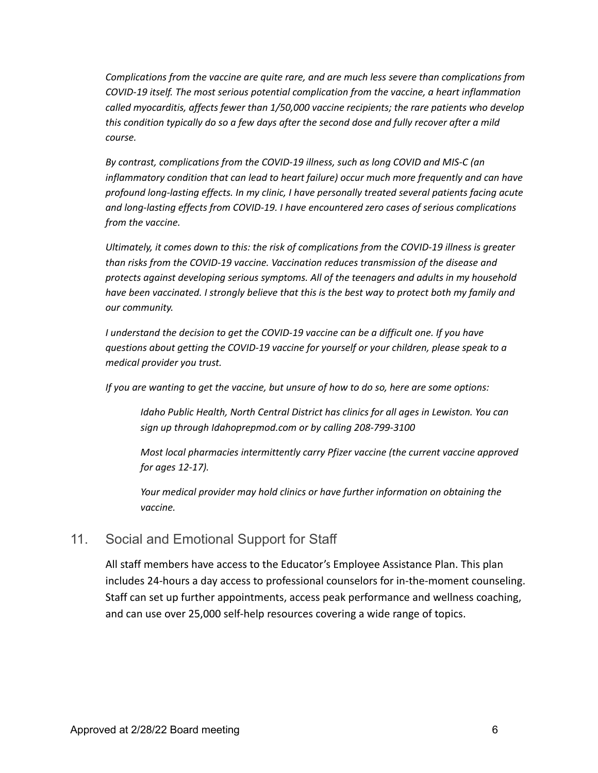*Complications from the vaccine are quite rare, and are much less severe than complications from COVID-19 itself. The most serious potential complication from the vaccine, a heart inflammation called myocarditis, affects fewer than 1/50,000 vaccine recipients; the rare patients who develop this condition typically do so a few days after the second dose and fully recover after a mild course.*

*By contrast, complications from the COVID-19 illness, such as long COVID and MIS-C (an inflammatory condition that can lead to heart failure) occur much more frequently and can have profound long-lasting effects. In my clinic, I have personally treated several patients facing acute and long-lasting effects from COVID-19. I have encountered zero cases of serious complications from the vaccine.*

*Ultimately, it comes down to this: the risk of complications from the COVID-19 illness is greater than risks from the COVID-19 vaccine. Vaccination reduces transmission of the disease and protects against developing serious symptoms. All of the teenagers and adults in my household have been vaccinated. I strongly believe that this is the best way to protect both my family and our community.*

*I understand the decision to get the COVID-19 vaccine can be a difficult one. If you have questions about getting the COVID-19 vaccine for yourself or your children, please speak to a medical provider you trust.*

*If you are wanting to get the vaccine, but unsure of how to do so, here are some options:*

*Idaho Public Health, North Central District has clinics for all ages in Lewiston. You can sign up through Idahoprepmod.com or by calling 208-799-3100*

*Most local pharmacies intermittently carry Pfizer vaccine (the current vaccine approved for ages 12-17).*

*Your medical provider may hold clinics or have further information on obtaining the vaccine.*

### 11. Social and Emotional Support for Staff

All staff members have access to the Educator's Employee Assistance Plan. This plan includes 24-hours a day access to professional counselors for in-the-moment counseling. Staff can set up further appointments, access peak performance and wellness coaching, and can use over 25,000 self-help resources covering a wide range of topics.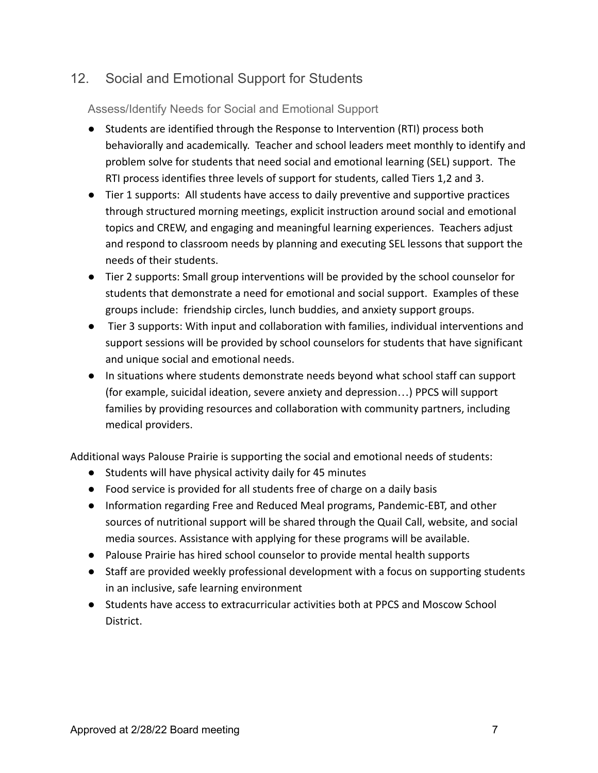# 12. Social and Emotional Support for Students

Assess/Identify Needs for Social and Emotional Support

- Students are identified through the Response to Intervention (RTI) process both behaviorally and academically. Teacher and school leaders meet monthly to identify and problem solve for students that need social and emotional learning (SEL) support. The RTI process identifies three levels of support for students, called Tiers 1,2 and 3.
- Tier 1 supports: All students have access to daily preventive and supportive practices through structured morning meetings, explicit instruction around social and emotional topics and CREW, and engaging and meaningful learning experiences. Teachers adjust and respond to classroom needs by planning and executing SEL lessons that support the needs of their students.
- Tier 2 supports: Small group interventions will be provided by the school counselor for students that demonstrate a need for emotional and social support. Examples of these groups include: friendship circles, lunch buddies, and anxiety support groups.
- Tier 3 supports: With input and collaboration with families, individual interventions and support sessions will be provided by school counselors for students that have significant and unique social and emotional needs.
- In situations where students demonstrate needs beyond what school staff can support (for example, suicidal ideation, severe anxiety and depression…) PPCS will support families by providing resources and collaboration with community partners, including medical providers.

Additional ways Palouse Prairie is supporting the social and emotional needs of students:

- Students will have physical activity daily for 45 minutes
- Food service is provided for all students free of charge on a daily basis
- Information regarding Free and Reduced Meal programs, Pandemic-EBT, and other sources of nutritional support will be shared through the Quail Call, website, and social media sources. Assistance with applying for these programs will be available.
- Palouse Prairie has hired school counselor to provide mental health supports
- Staff are provided weekly professional development with a focus on supporting students in an inclusive, safe learning environment
- Students have access to extracurricular activities both at PPCS and Moscow School District.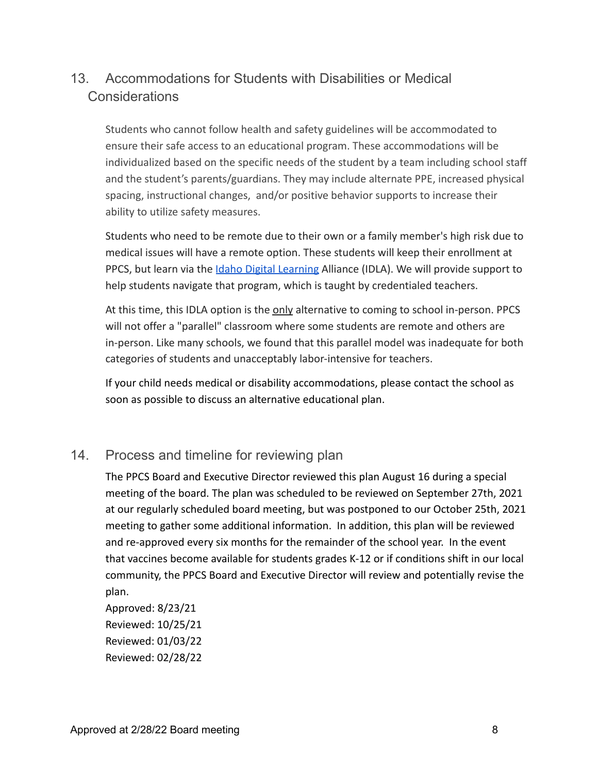# 13. Accommodations for Students with Disabilities or Medical Considerations

Students who cannot follow health and safety guidelines will be accommodated to ensure their safe access to an educational program. These accommodations will be individualized based on the specific needs of the student by a team including school staff and the student's parents/guardians. They may include alternate PPE, increased physical spacing, instructional changes, and/or positive behavior supports to increase their ability to utilize safety measures.

Students who need to be remote due to their own or a family member's high risk due to medical issues will have a remote option. These students will keep their enrollment at PPCS, but learn via the [Idaho Digital Learning](https://www.idahodigitallearning.org/) Alliance (IDLA). We will provide support to help students navigate that program, which is taught by credentialed teachers.

At this time, this IDLA option is the only alternative to coming to school in-person. PPCS will not offer a "parallel" classroom where some students are remote and others are in-person. Like many schools, we found that this parallel model was inadequate for both categories of students and unacceptably labor-intensive for teachers.

If your child needs medical or disability accommodations, please contact the school as soon as possible to discuss an alternative educational plan.

## 14. Process and timeline for reviewing plan

The PPCS Board and Executive Director reviewed this plan August 16 during a special meeting of the board. The plan was scheduled to be reviewed on September 27th, 2021 at our regularly scheduled board meeting, but was postponed to our October 25th, 2021 meeting to gather some additional information. In addition, this plan will be reviewed and re-approved every six months for the remainder of the school year. In the event that vaccines become available for students grades K-12 or if conditions shift in our local community, the PPCS Board and Executive Director will review and potentially revise the plan.

Approved: 8/23/21 Reviewed: 10/25/21 Reviewed: 01/03/22 Reviewed: 02/28/22